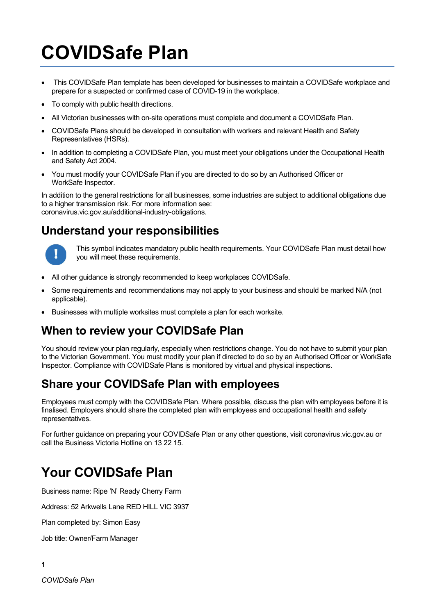# COVIDSafe Plan

- This COVIDSafe Plan template has been developed for businesses to maintain a COVIDSafe workplace and prepare for a suspected or confirmed case of COVID-19 in the workplace.
- To comply with public health directions.
- All Victorian businesses with on-site operations must complete and document a COVIDSafe Plan.
- COVIDSafe Plans should be developed in consultation with workers and relevant Health and Safety Representatives (HSRs).
- In addition to completing a COVIDSafe Plan, you must meet your obligations under the Occupational Health and Safety Act 2004.
- You must modify your COVIDSafe Plan if you are directed to do so by an Authorised Officer or WorkSafe Inspector.

In addition to the general restrictions for all businesses, some industries are subject to additional obligations due to a higher transmission risk. For more information see: coronavirus.vic.gov.au/additional-industry-obligations.

#### Understand your responsibilities



This symbol indicates mandatory public health requirements. Your COVIDSafe Plan must detail how you will meet these requirements.

- All other guidance is strongly recommended to keep workplaces COVIDSafe.
- Some requirements and recommendations may not apply to your business and should be marked N/A (not applicable).
- Businesses with multiple worksites must complete a plan for each worksite.

#### When to review your COVIDSafe Plan

You should review your plan regularly, especially when restrictions change. You do not have to submit your plan to the Victorian Government. You must modify your plan if directed to do so by an Authorised Officer or WorkSafe Inspector. Compliance with COVIDSafe Plans is monitored by virtual and physical inspections.

#### Share your COVIDSafe Plan with employees

Employees must comply with the COVIDSafe Plan. Where possible, discuss the plan with employees before it is finalised. Employers should share the completed plan with employees and occupational health and safety representatives.

For further guidance on preparing your COVIDSafe Plan or any other questions, visit coronavirus.vic.gov.au or call the Business Victoria Hotline on 13 22 15.

### Your COVIDSafe Plan

Business name: Ripe 'N' Ready Cherry Farm

Address: 52 Arkwells Lane RED HILL VIC 3937

Plan completed by: Simon Easy

Job title: Owner/Farm Manager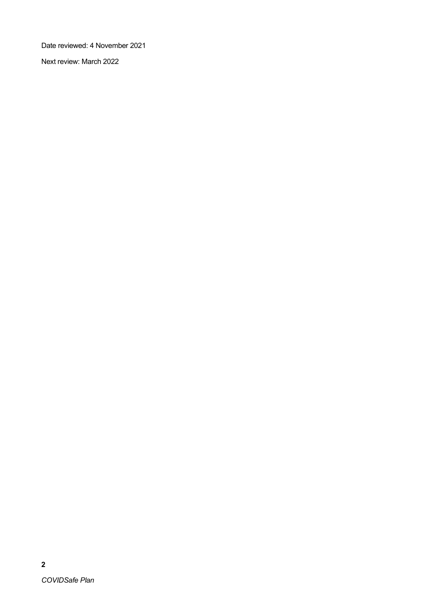Date reviewed: 4 November 2021

Next review: March 2022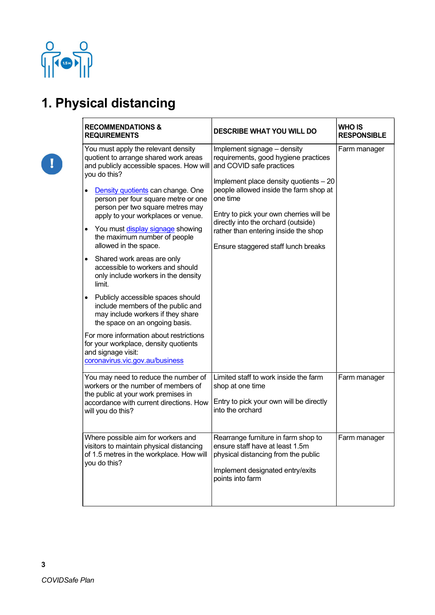

 $\boxed{1}$ 

## 1. Physical distancing

| <b>RECOMMENDATIONS &amp;</b><br><b>REQUIREMENTS</b>                                                                                                                                                                                                                                                                                                                                                                                                                                                                                                                                                                                                                                                                                                                                                                                                              | <b>DESCRIBE WHAT YOU WILL DO</b>                                                                                                                                                                                                                                                                                                                                 | <b>WHO IS</b><br><b>RESPONSIBLE</b> |
|------------------------------------------------------------------------------------------------------------------------------------------------------------------------------------------------------------------------------------------------------------------------------------------------------------------------------------------------------------------------------------------------------------------------------------------------------------------------------------------------------------------------------------------------------------------------------------------------------------------------------------------------------------------------------------------------------------------------------------------------------------------------------------------------------------------------------------------------------------------|------------------------------------------------------------------------------------------------------------------------------------------------------------------------------------------------------------------------------------------------------------------------------------------------------------------------------------------------------------------|-------------------------------------|
| You must apply the relevant density<br>quotient to arrange shared work areas<br>and publicly accessible spaces. How will<br>you do this?<br>Density quotients can change. One<br>$\bullet$<br>person per four square metre or one<br>person per two square metres may<br>apply to your workplaces or venue.<br>You must display signage showing<br>$\bullet$<br>the maximum number of people<br>allowed in the space.<br>Shared work areas are only<br>$\bullet$<br>accessible to workers and should<br>only include workers in the density<br>limit.<br>Publicly accessible spaces should<br>$\bullet$<br>include members of the public and<br>may include workers if they share<br>the space on an ongoing basis.<br>For more information about restrictions<br>for your workplace, density quotients<br>and signage visit:<br>coronavirus.vic.gov.au/business | Implement signage - density<br>requirements, good hygiene practices<br>and COVID safe practices<br>Implement place density quotients - 20<br>people allowed inside the farm shop at<br>one time<br>Entry to pick your own cherries will be<br>directly into the orchard (outside)<br>rather than entering inside the shop<br>Ensure staggered staff lunch breaks | Farm manager                        |
| You may need to reduce the number of<br>workers or the number of members of<br>the public at your work premises in<br>accordance with current directions. How<br>will you do this?                                                                                                                                                                                                                                                                                                                                                                                                                                                                                                                                                                                                                                                                               | Limited staff to work inside the farm<br>shop at one time<br>Entry to pick your own will be directly<br>into the orchard                                                                                                                                                                                                                                         | Farm manager                        |
| Where possible aim for workers and<br>visitors to maintain physical distancing<br>of 1.5 metres in the workplace. How will<br>you do this?                                                                                                                                                                                                                                                                                                                                                                                                                                                                                                                                                                                                                                                                                                                       | Rearrange furniture in farm shop to<br>ensure staff have at least 1.5m<br>physical distancing from the public<br>Implement designated entry/exits<br>points into farm                                                                                                                                                                                            | Farm manager                        |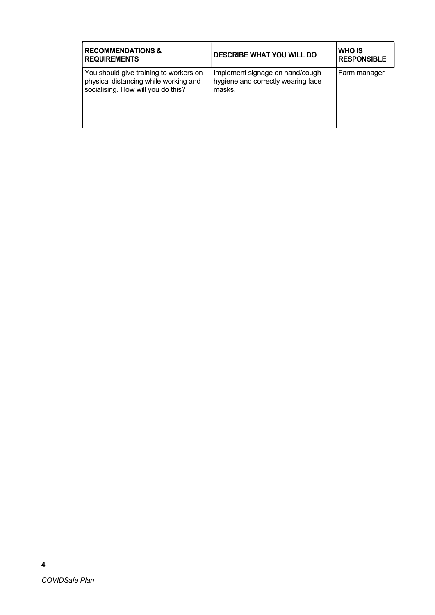| <b>RECOMMENDATIONS &amp;</b><br><b>REQUIREMENTS</b>                                                                   | <b>DESCRIBE WHAT YOU WILL DO</b>                                                | IWHO IS<br><b>RESPONSIBLE</b> |
|-----------------------------------------------------------------------------------------------------------------------|---------------------------------------------------------------------------------|-------------------------------|
| You should give training to workers on<br>physical distancing while working and<br>socialising. How will you do this? | Implement signage on hand/cough<br>hygiene and correctly wearing face<br>masks. | Farm manager                  |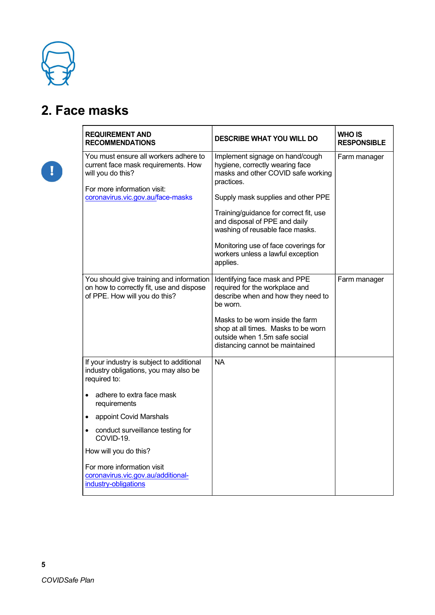

## 2. Face masks

| <b>REQUIREMENT AND</b><br><b>RECOMMENDATIONS</b>                                                                                                                      | <b>DESCRIBE WHAT YOU WILL DO</b>                                                                                                                                                                                                                                                                                                                                    | <b>WHO IS</b><br><b>RESPONSIBLE</b> |
|-----------------------------------------------------------------------------------------------------------------------------------------------------------------------|---------------------------------------------------------------------------------------------------------------------------------------------------------------------------------------------------------------------------------------------------------------------------------------------------------------------------------------------------------------------|-------------------------------------|
| You must ensure all workers adhere to<br>current face mask requirements. How<br>will you do this?<br>For more information visit:<br>coronavirus.vic.gov.au/face-masks | Implement signage on hand/cough<br>hygiene, correctly wearing face<br>masks and other COVID safe working<br>practices.<br>Supply mask supplies and other PPE<br>Training/guidance for correct fit, use<br>and disposal of PPE and daily<br>washing of reusable face masks.<br>Monitoring use of face coverings for<br>workers unless a lawful exception<br>applies. | Farm manager                        |
| You should give training and information<br>on how to correctly fit, use and dispose<br>of PPE. How will you do this?                                                 | Identifying face mask and PPE<br>required for the workplace and<br>describe when and how they need to<br>be worn.<br>Masks to be worn inside the farm<br>shop at all times. Masks to be worn<br>outside when 1.5m safe social<br>distancing cannot be maintained                                                                                                    | Farm manager                        |
| If your industry is subject to additional<br>industry obligations, you may also be<br>required to:<br>adhere to extra face mask<br>$\bullet$                          | <b>NA</b>                                                                                                                                                                                                                                                                                                                                                           |                                     |
| requirements<br>appoint Covid Marshals<br>$\bullet$                                                                                                                   |                                                                                                                                                                                                                                                                                                                                                                     |                                     |
| conduct surveillance testing for<br>$\bullet$<br>COVID-19.<br>How will you do this?                                                                                   |                                                                                                                                                                                                                                                                                                                                                                     |                                     |
| For more information visit<br>coronavirus.vic.gov.au/additional-<br>industry-obligations                                                                              |                                                                                                                                                                                                                                                                                                                                                                     |                                     |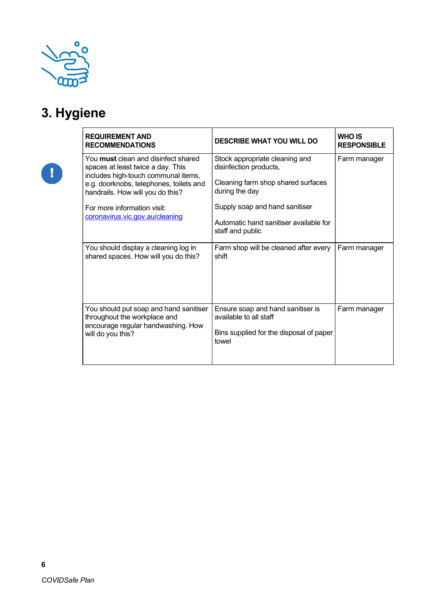

# 3. Hygiene

| <b>REQUIREMENT AND</b><br><b>RECOMMENDATIONS</b>                                                                                                                                                      | <b>DESCRIBE WHAT YOU WILL DO</b>                                                                                 | <b>WHO IS</b><br><b>RESPONSIBLE</b> |
|-------------------------------------------------------------------------------------------------------------------------------------------------------------------------------------------------------|------------------------------------------------------------------------------------------------------------------|-------------------------------------|
| You <b>must</b> clean and disinfect shared<br>spaces at least twice a day. This<br>includes high-touch communal items,<br>e.g. doorknobs, telephones, toilets and<br>handrails. How will you do this? | Stock appropriate cleaning and<br>disinfection products,<br>Cleaning farm shop shared surfaces<br>during the day | Farm manager                        |
| For more information visit:<br>coronavirus.vic.gov.au/cleaning                                                                                                                                        | Supply soap and hand sanitiser<br>Automatic hand sanitiser available for<br>staff and public                     |                                     |
| You should display a cleaning log in<br>shared spaces. How will you do this?                                                                                                                          | Farm shop will be cleaned after every<br>shift                                                                   | Farm manager                        |
| You should put soap and hand sanitiser<br>throughout the workplace and<br>encourage regular handwashing. How<br>will do you this?                                                                     | Ensure soap and hand sanitiser is<br>available to all staff<br>Bins supplied for the disposal of paper<br>towel  | Farm manager                        |

6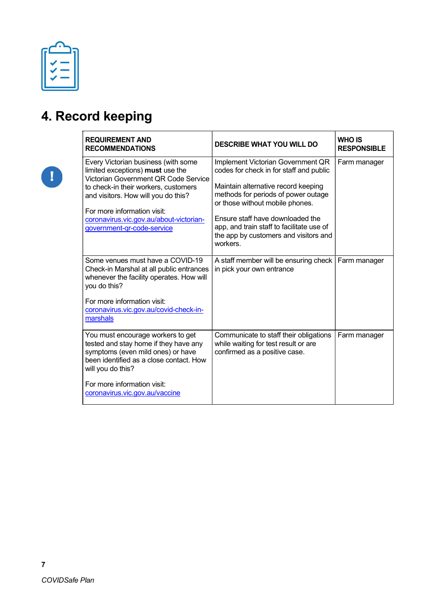# 4. Record keeping

| <b>REQUIREMENT AND</b><br><b>RECOMMENDATIONS</b>                                                                                                                                                                                                                                                       | <b>DESCRIBE WHAT YOU WILL DO</b>                                                                                                                                                                                                                                                                                                    | <b>WHO IS</b><br><b>RESPONSIBLE</b> |
|--------------------------------------------------------------------------------------------------------------------------------------------------------------------------------------------------------------------------------------------------------------------------------------------------------|-------------------------------------------------------------------------------------------------------------------------------------------------------------------------------------------------------------------------------------------------------------------------------------------------------------------------------------|-------------------------------------|
| Every Victorian business (with some<br>limited exceptions) must use the<br>Victorian Government QR Code Service<br>to check-in their workers, customers<br>and visitors. How will you do this?<br>For more information visit:<br>coronavirus.vic.gov.au/about-victorian-<br>government-gr-code-service | Implement Victorian Government QR<br>codes for check in for staff and public<br>Maintain alternative record keeping<br>methods for periods of power outage<br>or those without mobile phones.<br>Ensure staff have downloaded the<br>app, and train staff to facilitate use of<br>the app by customers and visitors and<br>workers. | Farm manager                        |
| Some venues must have a COVID-19<br>Check-in Marshal at all public entrances<br>whenever the facility operates. How will<br>you do this?<br>For more information visit:<br>coronavirus.vic.gov.au/covid-check-in-<br>marshals                                                                          | A staff member will be ensuring check<br>in pick your own entrance                                                                                                                                                                                                                                                                  | Farm manager                        |
| You must encourage workers to get<br>tested and stay home if they have any<br>symptoms (even mild ones) or have<br>been identified as a close contact. How<br>will you do this?<br>For more information visit:<br>coronavirus.vic.gov.au/vaccine                                                       | Communicate to staff their obligations<br>while waiting for test result or are<br>confirmed as a positive case.                                                                                                                                                                                                                     | Farm manager                        |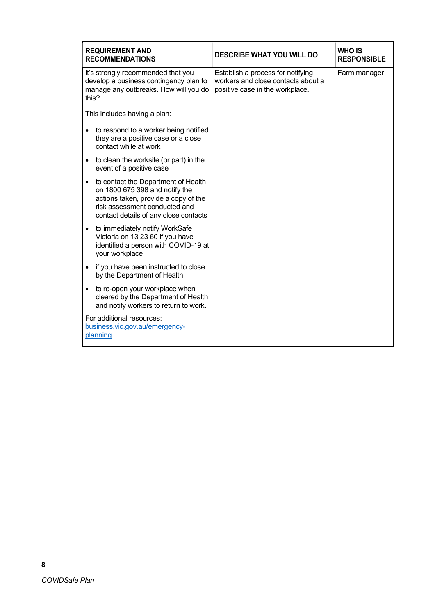| <b>REQUIREMENT AND</b><br><b>WHO IS</b><br><b>DESCRIBE WHAT YOU WILL DO</b><br><b>RECOMMENDATIONS</b><br><b>RESPONSIBLE</b>                                                                                                                                  |
|--------------------------------------------------------------------------------------------------------------------------------------------------------------------------------------------------------------------------------------------------------------|
| It's strongly recommended that you<br>Establish a process for notifying<br>Farm manager<br>workers and close contacts about a<br>develop a business contingency plan to<br>manage any outbreaks. How will you do<br>positive case in the workplace.<br>this? |
| This includes having a plan:                                                                                                                                                                                                                                 |
| to respond to a worker being notified<br>they are a positive case or a close<br>contact while at work                                                                                                                                                        |
| to clean the worksite (or part) in the<br>$\bullet$<br>event of a positive case                                                                                                                                                                              |
| to contact the Department of Health<br>on 1800 675 398 and notify the<br>actions taken, provide a copy of the<br>risk assessment conducted and<br>contact details of any close contacts                                                                      |
| to immediately notify WorkSafe<br>Victoria on 13 23 60 if you have<br>identified a person with COVID-19 at<br>your workplace                                                                                                                                 |
| if you have been instructed to close<br>by the Department of Health                                                                                                                                                                                          |
| to re-open your workplace when<br>$\bullet$<br>cleared by the Department of Health<br>and notify workers to return to work.                                                                                                                                  |
| For additional resources:<br>business.vic.gov.au/emergency-<br>planning                                                                                                                                                                                      |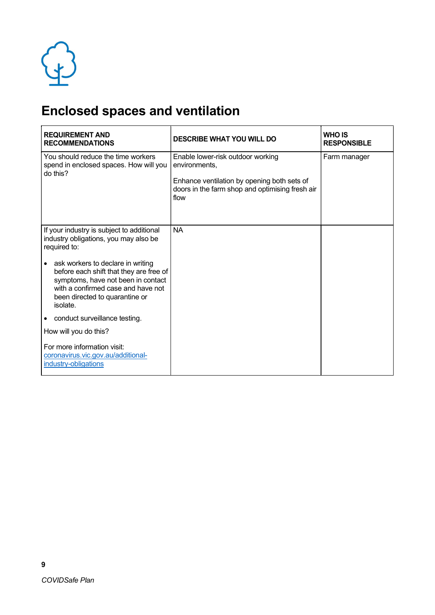

# Enclosed spaces and ventilation

| <b>REQUIREMENT AND</b><br><b>RECOMMENDATIONS</b>                                                                                                                                                                    | <b>DESCRIBE WHAT YOU WILL DO</b>                                                                                                                             | <b>WHO IS</b><br><b>RESPONSIBLE</b> |  |
|---------------------------------------------------------------------------------------------------------------------------------------------------------------------------------------------------------------------|--------------------------------------------------------------------------------------------------------------------------------------------------------------|-------------------------------------|--|
| You should reduce the time workers<br>spend in enclosed spaces. How will you<br>do this?                                                                                                                            | Enable lower-risk outdoor working<br>environments,<br>Enhance ventilation by opening both sets of<br>doors in the farm shop and optimising fresh air<br>flow | Farm manager                        |  |
| If your industry is subject to additional<br>industry obligations, you may also be<br>required to:                                                                                                                  | <b>NA</b>                                                                                                                                                    |                                     |  |
| ask workers to declare in writing<br>$\bullet$<br>before each shift that they are free of<br>symptoms, have not been in contact<br>with a confirmed case and have not<br>been directed to quarantine or<br>isolate. |                                                                                                                                                              |                                     |  |
| conduct surveillance testing.<br>$\bullet$                                                                                                                                                                          |                                                                                                                                                              |                                     |  |
| How will you do this?                                                                                                                                                                                               |                                                                                                                                                              |                                     |  |
| For more information visit:<br>coronavirus.vic.gov.au/additional-<br>industry-obligations                                                                                                                           |                                                                                                                                                              |                                     |  |

9